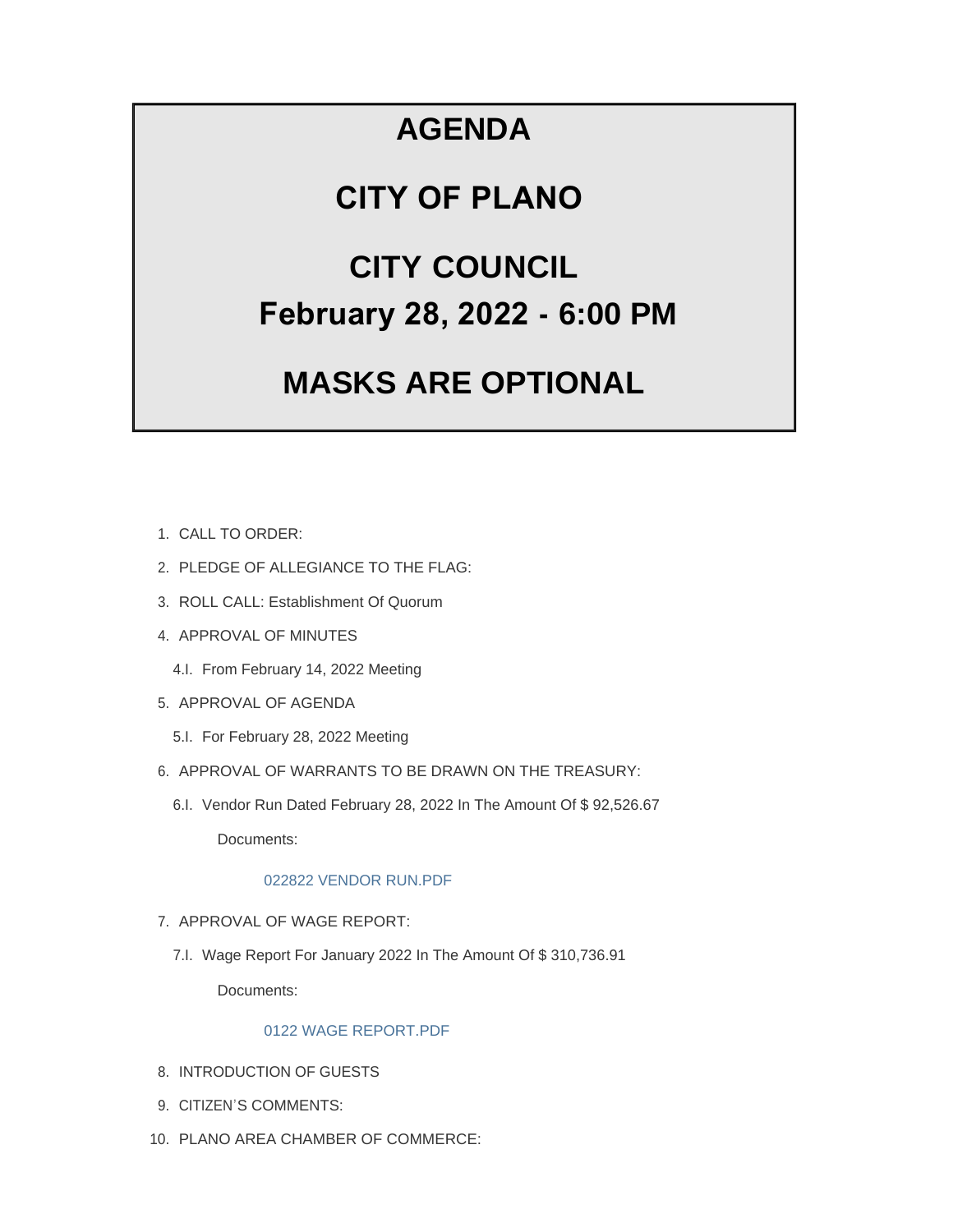## **AGENDA**

# **CITY OF PLANO**

# **CITY COUNCIL February 28, 2022 - 6:00 PM**

# **MASKS ARE OPTIONAL**

- CALL TO ORDER: 1.
- 2. PLEDGE OF ALLEGIANCE TO THE FLAG:
- 3. ROLL CALL: Establishment Of Quorum
- 4. APPROVAL OF MINUTES
	- 4.I. From February 14, 2022 Meeting
- 5. APPROVAL OF AGENDA
	- 5.I. For February 28, 2022 Meeting
- 6. APPROVAL OF WARRANTS TO BE DRAWN ON THE TREASURY:
	- 6.I. Vendor Run Dated February 28, 2022 In The Amount Of \$92,526.67

Documents:

## [022822 VENDOR RUN.PDF](https://www.cityofplanoil.com/AgendaCenter/ViewFile/Item/8729?fileID=2460)

- 7. APPROVAL OF WAGE REPORT:
	- 7.I. Wage Report For January 2022 In The Amount Of \$310,736.91 Documents:

## [0122 WAGE REPORT.PDF](https://www.cityofplanoil.com/AgendaCenter/ViewFile/Item/8730?fileID=2459)

- 8. INTRODUCTION OF GUESTS
- 9. CITIZEN'S COMMENTS:
- PLANO AREA CHAMBER OF COMMERCE: 10.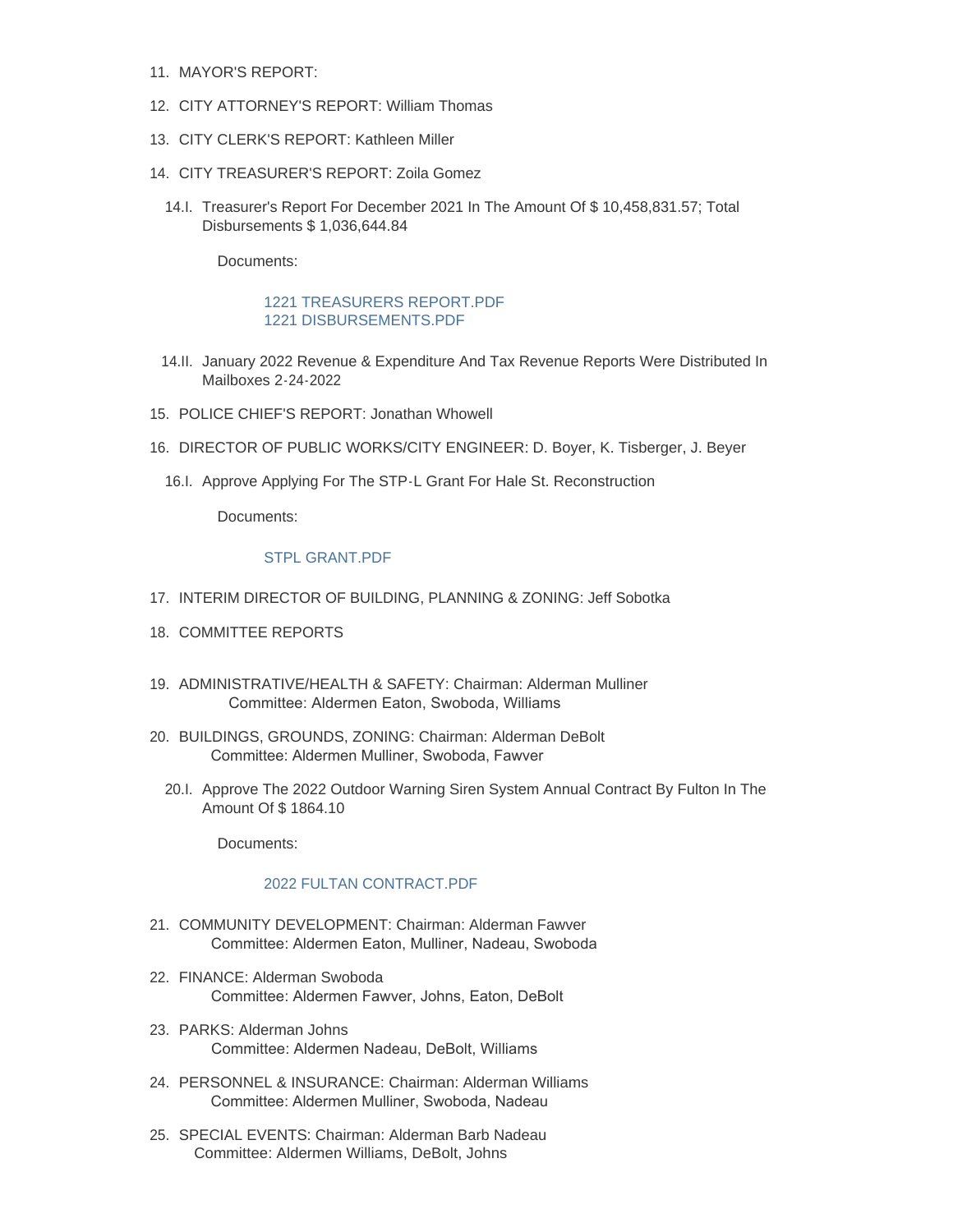- 11. MAYOR'S REPORT:
- 12. CITY ATTORNEY'S REPORT: William Thomas
- CITY CLERK'S REPORT: Kathleen Miller 13.
- CITY TREASURER'S REPORT: Zoila Gomez 14.
	- 14.I. Treasurer's Report For December 2021 In The Amount Of \$ 10,458,831.57; Total Disbursements \$ 1,036,644.84

Documents:

### 1221 TREASURERS REPORT PDF [1221 DISBURSEMENTS.PDF](https://www.cityofplanoil.com/AgendaCenter/ViewFile/Item/8731?fileID=2457)

- 14.II. January 2022 Revenue & Expenditure And Tax Revenue Reports Were Distributed In Mailboxes 2-24-2022
- 15. POLICE CHIEF'S REPORT: Jonathan Whowell
- 16. DIRECTOR OF PUBLIC WORKS/CITY ENGINEER: D. Boyer, K. Tisberger, J. Beyer
	- 16.I. Approve Applying For The STP-L Grant For Hale St. Reconstruction

Documents:

#### [STPL GRANT.PDF](https://www.cityofplanoil.com/AgendaCenter/ViewFile/Item/8732?fileID=2458)

- 17. INTERIM DIRECTOR OF BUILDING, PLANNING & ZONING: Jeff Sobotka
- 18. COMMITTEE REPORTS
- ADMINISTRATIVE/HEALTH & SAFETY: Chairman: Alderman Mulliner 19. Committee: Aldermen Eaton, Swoboda, Williams
- BUILDINGS, GROUNDS, ZONING: Chairman: Alderman DeBolt 20. Committee: Aldermen Mulliner, Swoboda, Fawver
	- 20.I. Approve The 2022 Outdoor Warning Siren System Annual Contract By Fulton In The Amount Of \$ 1864.10

Documents:

#### [2022 FULTAN CONTRACT.PDF](https://www.cityofplanoil.com/AgendaCenter/ViewFile/Item/8769?fileID=2461)

- 21. COMMUNITY DEVELOPMENT: Chairman: Alderman Fawver Committee: Aldermen Eaton, Mulliner, Nadeau, Swoboda
- FINANCE: Alderman Swoboda 22. Committee: Aldermen Fawver, Johns, Eaton, DeBolt
- PARKS: Alderman Johns 23. Committee: Aldermen Nadeau, DeBolt, Williams
- PERSONNEL & INSURANCE: Chairman: Alderman Williams 24. Committee: Aldermen Mulliner, Swoboda, Nadeau
- 25. SPECIAL EVENTS: Chairman: Alderman Barb Nadeau Committee: Aldermen Williams, DeBolt, Johns